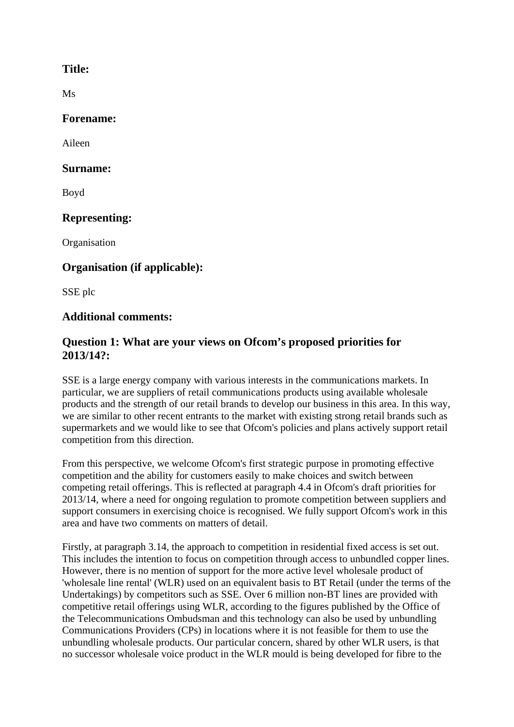### **Title:**

Ms

#### **Forename:**

Aileen

### **Surname:**

Boyd

# **Representing:**

**Organisation** 

# **Organisation (if applicable):**

SSE plc

## **Additional comments:**

## **Question 1: What are your views on Ofcom's proposed priorities for 2013/14?:**

SSE is a large energy company with various interests in the communications markets. In particular, we are suppliers of retail communications products using available wholesale products and the strength of our retail brands to develop our business in this area. In this way, we are similar to other recent entrants to the market with existing strong retail brands such as supermarkets and we would like to see that Ofcom's policies and plans actively support retail competition from this direction.

From this perspective, we welcome Ofcom's first strategic purpose in promoting effective competition and the ability for customers easily to make choices and switch between competing retail offerings. This is reflected at paragraph 4.4 in Ofcom's draft priorities for 2013/14, where a need for ongoing regulation to promote competition between suppliers and support consumers in exercising choice is recognised. We fully support Ofcom's work in this area and have two comments on matters of detail.

Firstly, at paragraph 3.14, the approach to competition in residential fixed access is set out. This includes the intention to focus on competition through access to unbundled copper lines. However, there is no mention of support for the more active level wholesale product of 'wholesale line rental' (WLR) used on an equivalent basis to BT Retail (under the terms of the Undertakings) by competitors such as SSE. Over 6 million non-BT lines are provided with competitive retail offerings using WLR, according to the figures published by the Office of the Telecommunications Ombudsman and this technology can also be used by unbundling Communications Providers (CPs) in locations where it is not feasible for them to use the unbundling wholesale products. Our particular concern, shared by other WLR users, is that no successor wholesale voice product in the WLR mould is being developed for fibre to the